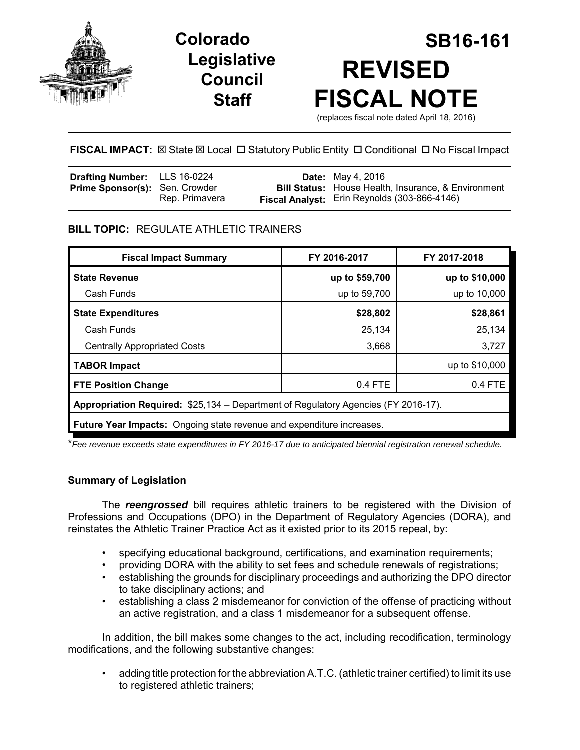

# **Legislative Council Staff**



**FISCAL IMPACT:**  $\boxtimes$  State  $\boxtimes$  Local  $\Box$  Statutory Public Entity  $\Box$  Conditional  $\Box$  No Fiscal Impact

| <b>Drafting Number:</b> LLS 16-0224   |                | <b>Date:</b> May 4, 2016                                   |
|---------------------------------------|----------------|------------------------------------------------------------|
| <b>Prime Sponsor(s): Sen. Crowder</b> |                | <b>Bill Status:</b> House Health, Insurance, & Environment |
|                                       | Rep. Primavera | Fiscal Analyst: Erin Reynolds (303-866-4146)               |

# **BILL TOPIC:** REGULATE ATHLETIC TRAINERS

| <b>Fiscal Impact Summary</b>                                                       | FY 2016-2017   | FY 2017-2018   |  |  |
|------------------------------------------------------------------------------------|----------------|----------------|--|--|
| <b>State Revenue</b>                                                               | up to \$59,700 | up to \$10,000 |  |  |
| Cash Funds                                                                         | up to 59,700   | up to 10,000   |  |  |
| <b>State Expenditures</b>                                                          | \$28,802       | \$28,861       |  |  |
| Cash Funds                                                                         | 25,134         | 25,134         |  |  |
| <b>Centrally Appropriated Costs</b>                                                | 3,668          | 3,727          |  |  |
| <b>TABOR Impact</b>                                                                |                | up to \$10,000 |  |  |
| <b>FTE Position Change</b>                                                         | 0.4 FTE        | 0.4 FTE        |  |  |
| Appropriation Required: \$25,134 – Department of Regulatory Agencies (FY 2016-17). |                |                |  |  |
| <b>Future Year Impacts:</b> Ongoing state revenue and expenditure increases.       |                |                |  |  |

\**Fee revenue exceeds state expenditures in FY 2016-17 due to anticipated biennial registration renewal schedule.*

# **Summary of Legislation**

The *reengrossed* bill requires athletic trainers to be registered with the Division of Professions and Occupations (DPO) in the Department of Regulatory Agencies (DORA), and reinstates the Athletic Trainer Practice Act as it existed prior to its 2015 repeal, by:

- specifying educational background, certifications, and examination requirements;
- providing DORA with the ability to set fees and schedule renewals of registrations;
- establishing the grounds for disciplinary proceedings and authorizing the DPO director to take disciplinary actions; and
- establishing a class 2 misdemeanor for conviction of the offense of practicing without an active registration, and a class 1 misdemeanor for a subsequent offense.

In addition, the bill makes some changes to the act, including recodification, terminology modifications, and the following substantive changes:

• adding title protection for the abbreviation A.T.C. (athletic trainer certified) to limit its use to registered athletic trainers;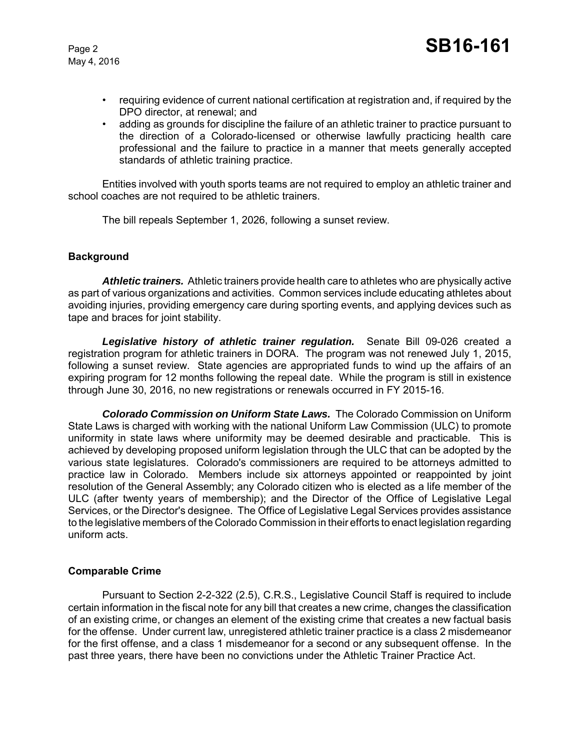- requiring evidence of current national certification at registration and, if required by the DPO director, at renewal; and
- adding as grounds for discipline the failure of an athletic trainer to practice pursuant to the direction of a Colorado-licensed or otherwise lawfully practicing health care professional and the failure to practice in a manner that meets generally accepted standards of athletic training practice.

Entities involved with youth sports teams are not required to employ an athletic trainer and school coaches are not required to be athletic trainers.

The bill repeals September 1, 2026, following a sunset review.

### **Background**

*Athletic trainers.* Athletic trainers provide health care to athletes who are physically active as part of various organizations and activities. Common services include educating athletes about avoiding injuries, providing emergency care during sporting events, and applying devices such as tape and braces for joint stability.

*Legislative history of athletic trainer regulation.* Senate Bill 09-026 created a registration program for athletic trainers in DORA. The program was not renewed July 1, 2015, following a sunset review. State agencies are appropriated funds to wind up the affairs of an expiring program for 12 months following the repeal date. While the program is still in existence through June 30, 2016, no new registrations or renewals occurred in FY 2015-16.

*Colorado Commission on Uniform State Laws.* The Colorado Commission on Uniform State Laws is charged with working with the national Uniform Law Commission (ULC) to promote uniformity in state laws where uniformity may be deemed desirable and practicable. This is achieved by developing proposed uniform legislation through the ULC that can be adopted by the various state legislatures. Colorado's commissioners are required to be attorneys admitted to practice law in Colorado. Members include six attorneys appointed or reappointed by joint resolution of the General Assembly; any Colorado citizen who is elected as a life member of the ULC (after twenty years of membership); and the Director of the Office of Legislative Legal Services, or the Director's designee. The Office of Legislative Legal Services provides assistance to the legislative members of the Colorado Commission in their efforts to enact legislation regarding uniform acts.

### **Comparable Crime**

Pursuant to Section 2-2-322 (2.5), C.R.S., Legislative Council Staff is required to include certain information in the fiscal note for any bill that creates a new crime, changes the classification of an existing crime, or changes an element of the existing crime that creates a new factual basis for the offense. Under current law, unregistered athletic trainer practice is a class 2 misdemeanor for the first offense, and a class 1 misdemeanor for a second or any subsequent offense. In the past three years, there have been no convictions under the Athletic Trainer Practice Act.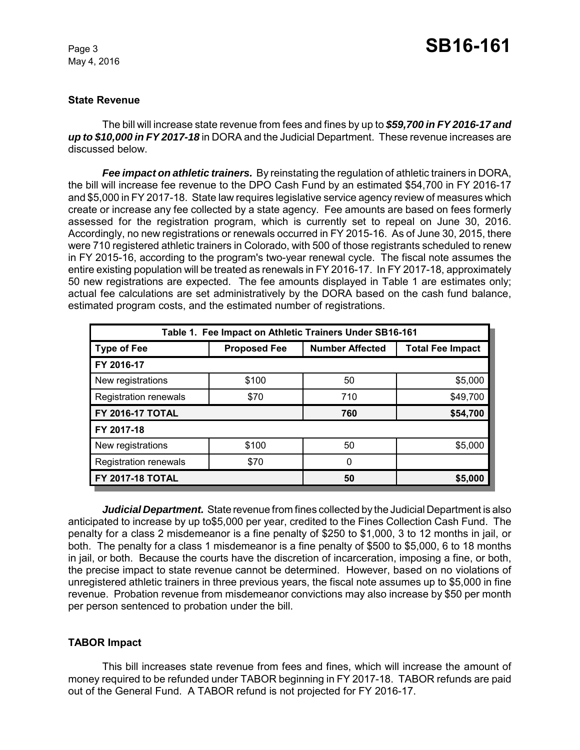#### **State Revenue**

The bill will increase state revenue from fees and fines by up to *\$59,700 in FY 2016-17 and up to \$10,000 in FY 2017-18* in DORA and the Judicial Department. These revenue increases are discussed below.

*Fee impact on athletic trainers.* By reinstating the regulation of athletic trainers in DORA, the bill will increase fee revenue to the DPO Cash Fund by an estimated \$54,700 in FY 2016-17 and \$5,000 in FY 2017-18. State law requires legislative service agency review of measures which create or increase any fee collected by a state agency. Fee amounts are based on fees formerly assessed for the registration program, which is currently set to repeal on June 30, 2016. Accordingly, no new registrations or renewals occurred in FY 2015-16. As of June 30, 2015, there were 710 registered athletic trainers in Colorado, with 500 of those registrants scheduled to renew in FY 2015-16, according to the program's two-year renewal cycle. The fiscal note assumes the entire existing population will be treated as renewals in FY 2016-17. In FY 2017-18, approximately 50 new registrations are expected. The fee amounts displayed in Table 1 are estimates only; actual fee calculations are set administratively by the DORA based on the cash fund balance, estimated program costs, and the estimated number of registrations.

| Table 1. Fee Impact on Athletic Trainers Under SB16-161 |                     |                        |                         |  |  |  |
|---------------------------------------------------------|---------------------|------------------------|-------------------------|--|--|--|
| Type of Fee                                             | <b>Proposed Fee</b> | <b>Number Affected</b> | <b>Total Fee Impact</b> |  |  |  |
| FY 2016-17                                              |                     |                        |                         |  |  |  |
| New registrations                                       | \$100               | 50                     | \$5,000                 |  |  |  |
| <b>Registration renewals</b>                            | \$70                | 710                    | \$49,700                |  |  |  |
| FY 2016-17 TOTAL                                        |                     | 760                    | \$54,700                |  |  |  |
| FY 2017-18                                              |                     |                        |                         |  |  |  |
| New registrations                                       | \$100               | 50                     | \$5,000                 |  |  |  |
| <b>Registration renewals</b>                            | \$70                | 0                      |                         |  |  |  |
| FY 2017-18 TOTAL                                        |                     | 50                     | \$5,000                 |  |  |  |

*Judicial Department.* State revenue from fines collected by the Judicial Department is also anticipated to increase by up to\$5,000 per year, credited to the Fines Collection Cash Fund. The penalty for a class 2 misdemeanor is a fine penalty of \$250 to \$1,000, 3 to 12 months in jail, or both. The penalty for a class 1 misdemeanor is a fine penalty of \$500 to \$5,000, 6 to 18 months in jail, or both. Because the courts have the discretion of incarceration, imposing a fine, or both, the precise impact to state revenue cannot be determined. However, based on no violations of unregistered athletic trainers in three previous years, the fiscal note assumes up to \$5,000 in fine revenue. Probation revenue from misdemeanor convictions may also increase by \$50 per month per person sentenced to probation under the bill.

# **TABOR Impact**

This bill increases state revenue from fees and fines, which will increase the amount of money required to be refunded under TABOR beginning in FY 2017-18. TABOR refunds are paid out of the General Fund. A TABOR refund is not projected for FY 2016-17.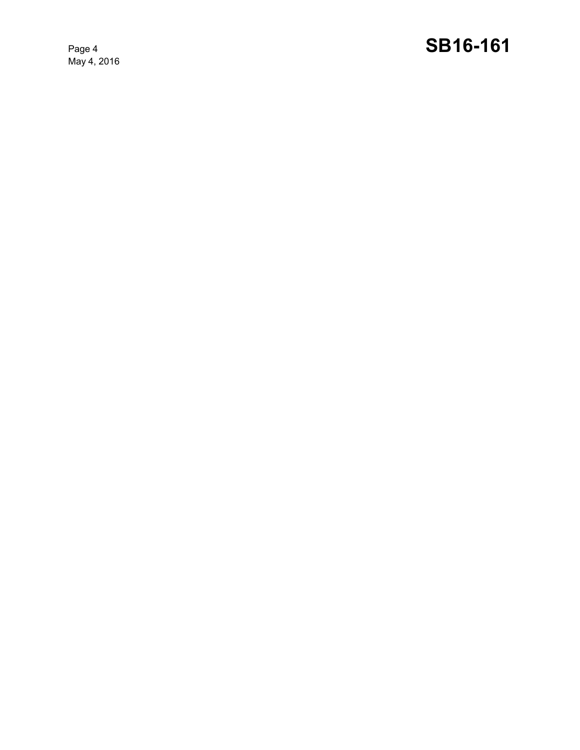# Page 4 **SB16-161**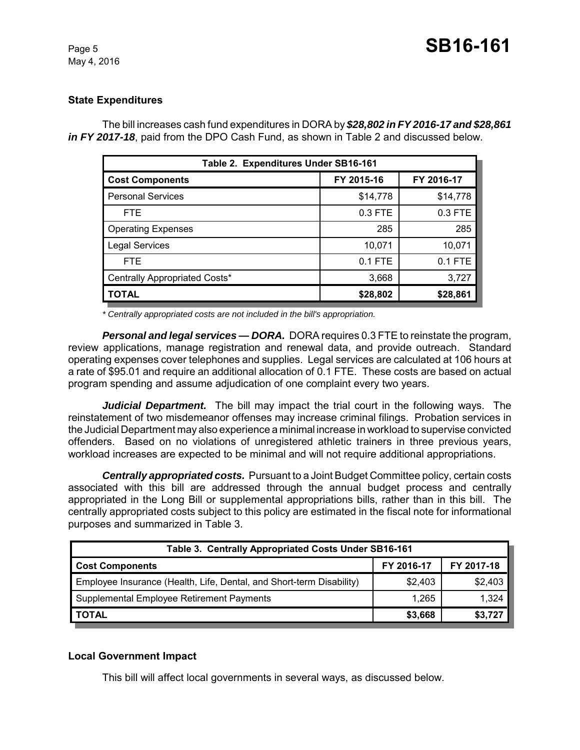### **State Expenditures**

The bill increases cash fund expenditures in DORA by *\$28,802 in FY 2016-17 and \$28,861 in FY 2017-18*, paid from the DPO Cash Fund, as shown in Table 2 and discussed below.

| Table 2. Expenditures Under SB16-161 |            |            |  |  |  |
|--------------------------------------|------------|------------|--|--|--|
| <b>Cost Components</b>               | FY 2015-16 | FY 2016-17 |  |  |  |
| <b>Personal Services</b>             | \$14,778   | \$14,778   |  |  |  |
| FTE.                                 | 0.3 FTE    | 0.3 FTE    |  |  |  |
| <b>Operating Expenses</b>            | 285        | 285        |  |  |  |
| <b>Legal Services</b>                | 10,071     | 10,071     |  |  |  |
| <b>FTE</b>                           | 0.1 FTE    | 0.1 FTE    |  |  |  |
| Centrally Appropriated Costs*        | 3,668      | 3,727      |  |  |  |
| <b>TOTAL</b>                         | \$28,802   | \$28,861   |  |  |  |

*\* Centrally appropriated costs are not included in the bill's appropriation.*

*Personal and legal services — DORA.* DORA requires 0.3 FTE to reinstate the program, review applications, manage registration and renewal data, and provide outreach. Standard operating expenses cover telephones and supplies. Legal services are calculated at 106 hours at a rate of \$95.01 and require an additional allocation of 0.1 FTE. These costs are based on actual program spending and assume adjudication of one complaint every two years.

*Judicial Department.* The bill may impact the trial court in the following ways. The reinstatement of two misdemeanor offenses may increase criminal filings. Probation services in the Judicial Department may also experience a minimal increase in workload to supervise convicted offenders. Based on no violations of unregistered athletic trainers in three previous years, workload increases are expected to be minimal and will not require additional appropriations.

*Centrally appropriated costs.* Pursuant to a Joint Budget Committee policy, certain costs associated with this bill are addressed through the annual budget process and centrally appropriated in the Long Bill or supplemental appropriations bills, rather than in this bill. The centrally appropriated costs subject to this policy are estimated in the fiscal note for informational purposes and summarized in Table 3.

| Table 3. Centrally Appropriated Costs Under SB16-161                 |            |            |  |  |  |  |
|----------------------------------------------------------------------|------------|------------|--|--|--|--|
| <b>Cost Components</b>                                               | FY 2016-17 | FY 2017-18 |  |  |  |  |
| Employee Insurance (Health, Life, Dental, and Short-term Disability) | \$2,403    | \$2,403    |  |  |  |  |
| Supplemental Employee Retirement Payments                            | 1.265      | 1,324      |  |  |  |  |
| <b>TOTAL</b>                                                         | \$3,668    | \$3,727    |  |  |  |  |

# **Local Government Impact**

This bill will affect local governments in several ways, as discussed below.